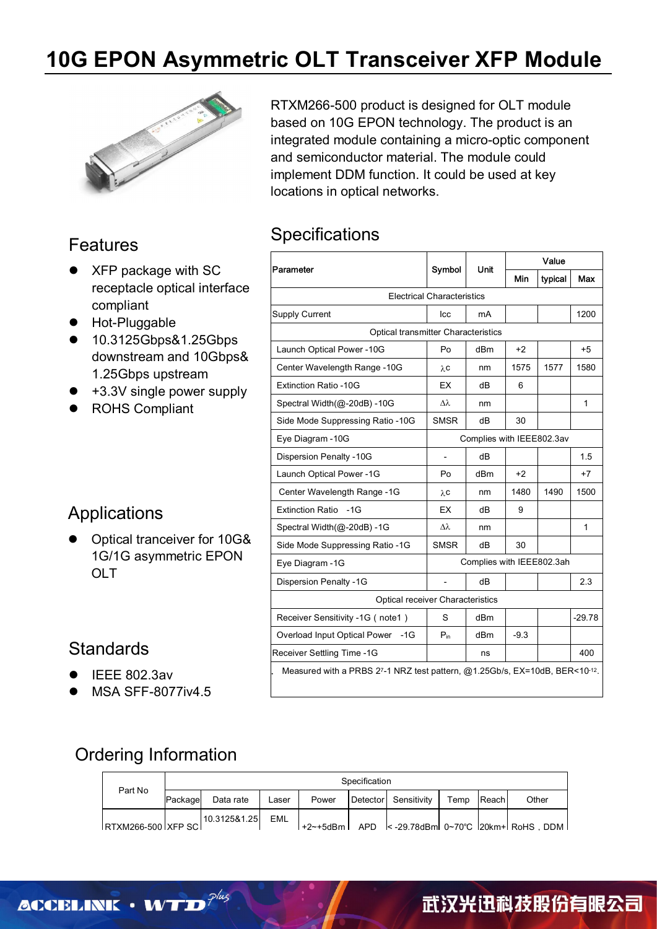# **10G EPON Asymmetric OLT Transceiver XFP Module**



#### Features

- XFP package with SC receptacle optical interface compliant
- **•** Hot-Pluggable
- 10.3125Gbps&1.25Gbps downstream and 10Gbps& 1.25Gbps upstream
- +3.3V single power supply
- ROHS Compliant

#### **Applications**

• Optical tranceiver for 10G& 1G/1G asymmetric EPON OLT

#### **Standards**

- IEEE 802.3av
- MSA SFF-8077iv4.5

RTXM266-500 product is designed for OLT module based on 10G EPON technology. The product is an integrated module containing a micro-optic component and semiconductor material. The module could implement DDM function. It could be used at key locations in optical networks.

#### **Specifications**

| Parameter                           |                                   |                 | Value  |         |          |
|-------------------------------------|-----------------------------------|-----------------|--------|---------|----------|
|                                     | Symbol                            | Unit            | Min    | typical | Max      |
|                                     | <b>Electrical Characteristics</b> |                 |        |         |          |
| <b>Supply Current</b>               | lcc                               | mA              |        |         | 1200     |
| Optical transmitter Characteristics |                                   |                 |        |         |          |
| Launch Optical Power - 10G          | Po                                | dBm             | $+2$   |         | $+5$     |
| Center Wavelength Range -10G        | λc                                | nm              | 1575   | 1577    | 1580     |
| <b>Extinction Ratio -10G</b>        | EX                                | dB              | 6      |         |          |
| Spectral Width(@-20dB) -10G         | Δλ                                | nm              |        |         | 1        |
| Side Mode Suppressing Ratio -10G    | <b>SMSR</b>                       | dB              | 30     |         |          |
| Eye Diagram - 10G                   | Complies with IEEE802.3av         |                 |        |         |          |
| Dispersion Penalty -10G             | $\overline{a}$                    | dB              |        |         | 1.5      |
| Launch Optical Power -1G            | Po                                | dBm             | $+2$   |         | $+7$     |
| Center Wavelength Range -1G         | λC                                | nm              | 1480   | 1490    | 1500     |
| Extinction Ratio -1G                | EX                                | dB              | 9      |         |          |
| Spectral Width(@-20dB) -1G          | Δλ                                | nm              |        |         | 1        |
| Side Mode Suppressing Ratio -1G     | <b>SMSR</b>                       | dB              | 30     |         |          |
| Eye Diagram - 1G                    | Complies with IEEE802.3ah         |                 |        |         |          |
| <b>Dispersion Penalty -1G</b>       |                                   | dB              |        |         | 2.3      |
| Optical receiver Characteristics    |                                   |                 |        |         |          |
| Receiver Sensitivity -1G (note1)    | S                                 | dB <sub>m</sub> |        |         | $-29.78$ |
| Overload Input Optical Power -1G    | $P_{in}$                          | dBm             | $-9.3$ |         |          |
| Receiver Settling Time -1G          |                                   | ns              |        |         | 400      |

### Ordering Information

| Part No            |         |              | Specification |       |  |                      |      |              |       |
|--------------------|---------|--------------|---------------|-------|--|----------------------|------|--------------|-------|
|                    | Package | Data rate    | Laser         | Power |  | Detector Sensitivity | Temp | <b>Reach</b> | Other |
| RTXM266-500 XFP SC |         | 10.3125&1.25 | EML           |       |  |                      |      |              |       |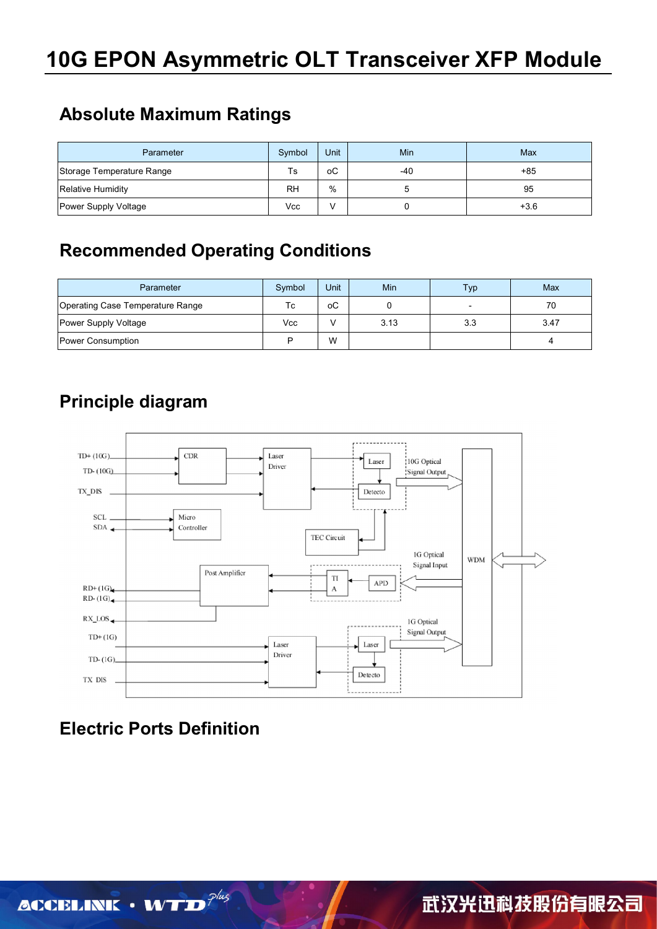## **Absolute Maximum Ratings**

| Parameter                 | Symbol    | Unit | Min | Max    |
|---------------------------|-----------|------|-----|--------|
| Storage Temperature Range | Ts        | оC   | -40 | $+85$  |
| <b>Relative Humidity</b>  | <b>RH</b> | %    |     | 95     |
| Power Supply Voltage      | Vcc       | V    |     | $+3.6$ |

## **Recommended Operating Conditions**

| Parameter                        | Symbol | Unit | Min  | Typ | Max  |
|----------------------------------|--------|------|------|-----|------|
| Operating Case Temperature Range | Тc     | оC   |      |     | 70   |
| Power Supply Voltage             | Vcc    |      | 3.13 | 3.3 | 3.47 |
| Power Consumption                | ם      | W    |      |     |      |

## **Principle diagram**



## **Electric Ports Definition**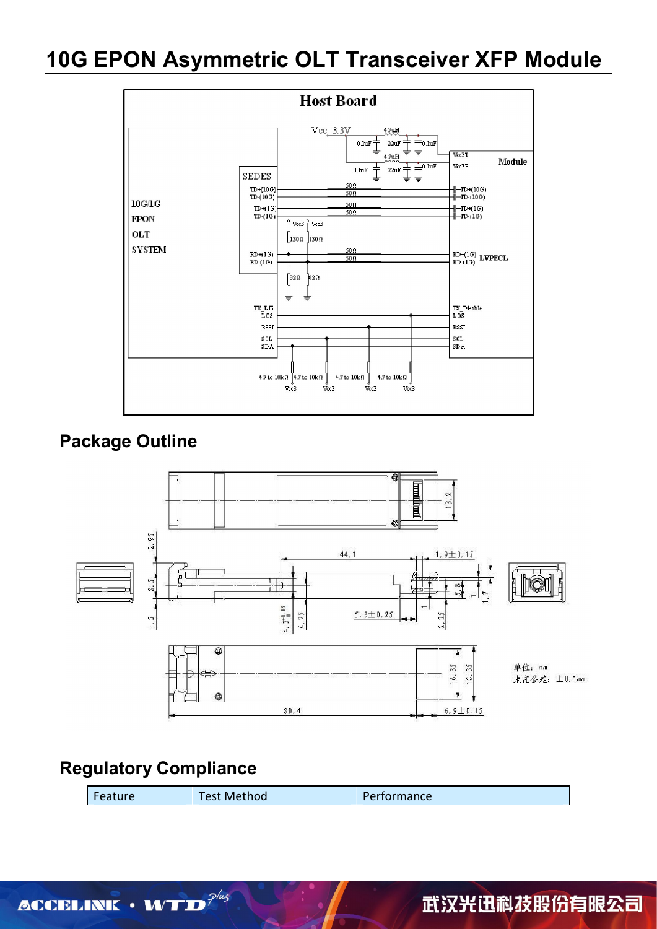## **10G EPON Asymmetric OLT Transceiver XFP Module**



## **Package Outline**



## **Regulatory Compliance**

| Feature | Test Method | Performance |
|---------|-------------|-------------|
|         |             |             |